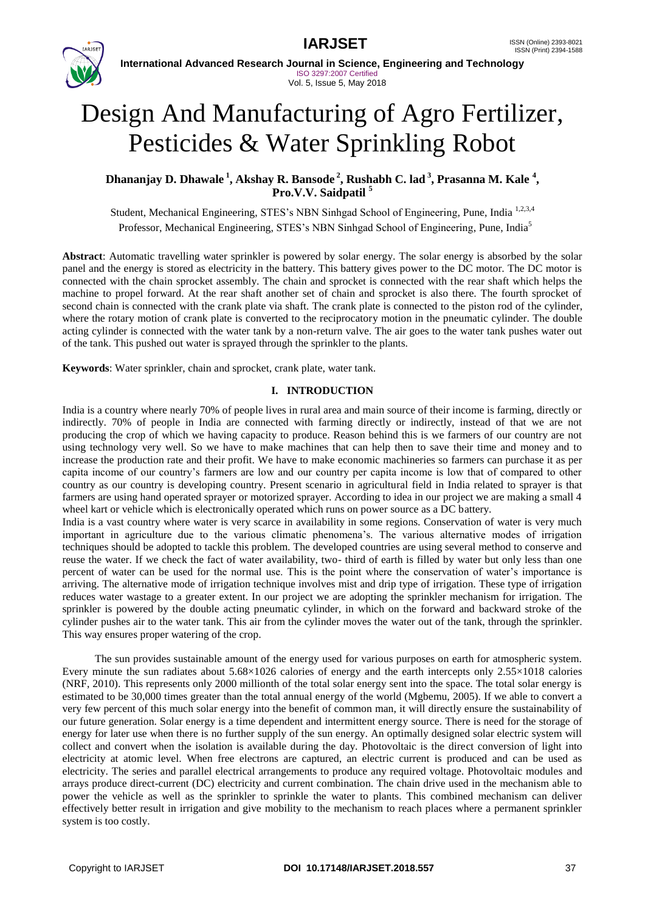

**International Advanced Research Journal in Science, Engineering and Technology** ISO 3297:2007 Certified Vol. 5, Issue 5, May 2018

# Design And Manufacturing of Agro Fertilizer, Pesticides & Water Sprinkling Robot

**Dhananjay D. Dhawale <sup>1</sup> , Akshay R. Bansode <sup>2</sup> , Rushabh C. lad <sup>3</sup> , Prasanna M. Kale <sup>4</sup> , Pro.V.V. Saidpatil <sup>5</sup>**

Student, Mechanical Engineering, STES's NBN Sinhgad School of Engineering, Pune, India 1,2,3,4 Professor, Mechanical Engineering, STES's NBN Sinhgad School of Engineering, Pune, India<sup>5</sup>

**Abstract**: Automatic travelling water sprinkler is powered by solar energy. The solar energy is absorbed by the solar panel and the energy is stored as electricity in the battery. This battery gives power to the DC motor. The DC motor is connected with the chain sprocket assembly. The chain and sprocket is connected with the rear shaft which helps the machine to propel forward. At the rear shaft another set of chain and sprocket is also there. The fourth sprocket of second chain is connected with the crank plate via shaft. The crank plate is connected to the piston rod of the cylinder, where the rotary motion of crank plate is converted to the reciprocatory motion in the pneumatic cylinder. The double acting cylinder is connected with the water tank by a non-return valve. The air goes to the water tank pushes water out of the tank. This pushed out water is sprayed through the sprinkler to the plants.

**Keywords**: Water sprinkler, chain and sprocket, crank plate, water tank.

#### **I. INTRODUCTION**

India is a country where nearly 70% of people lives in rural area and main source of their income is farming, directly or indirectly. 70% of people in India are connected with farming directly or indirectly, instead of that we are not producing the crop of which we having capacity to produce. Reason behind this is we farmers of our country are not using technology very well. So we have to make machines that can help then to save their time and money and to increase the production rate and their profit. We have to make economic machineries so farmers can purchase it as per capita income of our country's farmers are low and our country per capita income is low that of compared to other country as our country is developing country. Present scenario in agricultural field in India related to sprayer is that farmers are using hand operated sprayer or motorized sprayer. According to idea in our project we are making a small 4 wheel kart or vehicle which is electronically operated which runs on power source as a DC battery.

India is a vast country where water is very scarce in availability in some regions. Conservation of water is very much important in agriculture due to the various climatic phenomena's. The various alternative modes of irrigation techniques should be adopted to tackle this problem. The developed countries are using several method to conserve and reuse the water. If we check the fact of water availability, two- third of earth is filled by water but only less than one percent of water can be used for the normal use. This is the point where the conservation of water's importance is arriving. The alternative mode of irrigation technique involves mist and drip type of irrigation. These type of irrigation reduces water wastage to a greater extent. In our project we are adopting the sprinkler mechanism for irrigation. The sprinkler is powered by the double acting pneumatic cylinder, in which on the forward and backward stroke of the cylinder pushes air to the water tank. This air from the cylinder moves the water out of the tank, through the sprinkler. This way ensures proper watering of the crop.

 The sun provides sustainable amount of the energy used for various purposes on earth for atmospheric system. Every minute the sun radiates about  $5.68 \times 1026$  calories of energy and the earth intercepts only  $2.55 \times 1018$  calories (NRF, 2010). This represents only 2000 millionth of the total solar energy sent into the space. The total solar energy is estimated to be 30,000 times greater than the total annual energy of the world (Mgbemu, 2005). If we able to convert a very few percent of this much solar energy into the benefit of common man, it will directly ensure the sustainability of our future generation. Solar energy is a time dependent and intermittent energy source. There is need for the storage of energy for later use when there is no further supply of the sun energy. An optimally designed solar electric system will collect and convert when the isolation is available during the day. Photovoltaic is the direct conversion of light into electricity at atomic level. When free electrons are captured, an electric current is produced and can be used as electricity. The series and parallel electrical arrangements to produce any required voltage. Photovoltaic modules and arrays produce direct-current (DC) electricity and current combination. The chain drive used in the mechanism able to power the vehicle as well as the sprinkler to sprinkle the water to plants. This combined mechanism can deliver effectively better result in irrigation and give mobility to the mechanism to reach places where a permanent sprinkler system is too costly.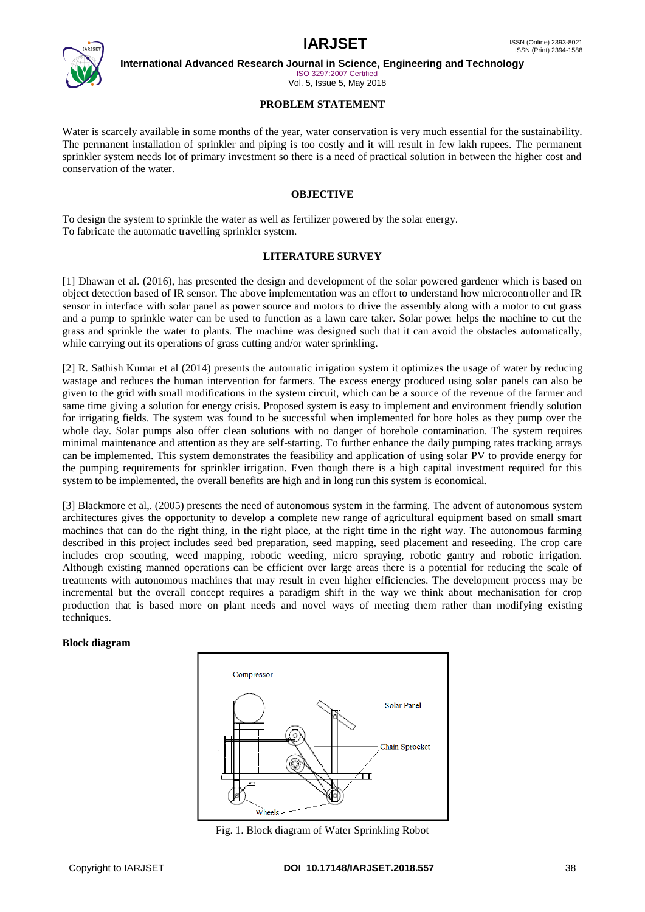

**International Advanced Research Journal in Science, Engineering and Technology**

ISO 3297:2007 Certified Vol. 5, Issue 5, May 2018

# **PROBLEM STATEMENT**

Water is scarcely available in some months of the year, water conservation is very much essential for the sustainability. The permanent installation of sprinkler and piping is too costly and it will result in few lakh rupees. The permanent sprinkler system needs lot of primary investment so there is a need of practical solution in between the higher cost and conservation of the water.

### **OBJECTIVE**

To design the system to sprinkle the water as well as fertilizer powered by the solar energy. To fabricate the automatic travelling sprinkler system.

# **LITERATURE SURVEY**

[1] Dhawan et al. (2016), has presented the design and development of the solar powered gardener which is based on object detection based of IR sensor. The above implementation was an effort to understand how microcontroller and IR sensor in interface with solar panel as power source and motors to drive the assembly along with a motor to cut grass and a pump to sprinkle water can be used to function as a lawn care taker. Solar power helps the machine to cut the grass and sprinkle the water to plants. The machine was designed such that it can avoid the obstacles automatically, while carrying out its operations of grass cutting and/or water sprinkling.

[2] R. Sathish Kumar et al (2014) presents the automatic irrigation system it optimizes the usage of water by reducing wastage and reduces the human intervention for farmers. The excess energy produced using solar panels can also be given to the grid with small modifications in the system circuit, which can be a source of the revenue of the farmer and same time giving a solution for energy crisis. Proposed system is easy to implement and environment friendly solution for irrigating fields. The system was found to be successful when implemented for bore holes as they pump over the whole day. Solar pumps also offer clean solutions with no danger of borehole contamination. The system requires minimal maintenance and attention as they are self-starting. To further enhance the daily pumping rates tracking arrays can be implemented. This system demonstrates the feasibility and application of using solar PV to provide energy for the pumping requirements for sprinkler irrigation. Even though there is a high capital investment required for this system to be implemented, the overall benefits are high and in long run this system is economical.

[3] Blackmore et al,. (2005) presents the need of autonomous system in the farming. The advent of autonomous system architectures gives the opportunity to develop a complete new range of agricultural equipment based on small smart machines that can do the right thing, in the right place, at the right time in the right way. The autonomous farming described in this project includes seed bed preparation, seed mapping, seed placement and reseeding. The crop care includes crop scouting, weed mapping, robotic weeding, micro spraying, robotic gantry and robotic irrigation. Although existing manned operations can be efficient over large areas there is a potential for reducing the scale of treatments with autonomous machines that may result in even higher efficiencies. The development process may be incremental but the overall concept requires a paradigm shift in the way we think about mechanisation for crop production that is based more on plant needs and novel ways of meeting them rather than modifying existing techniques.

#### **Block diagram**



Fig. 1. Block diagram of Water Sprinkling Robot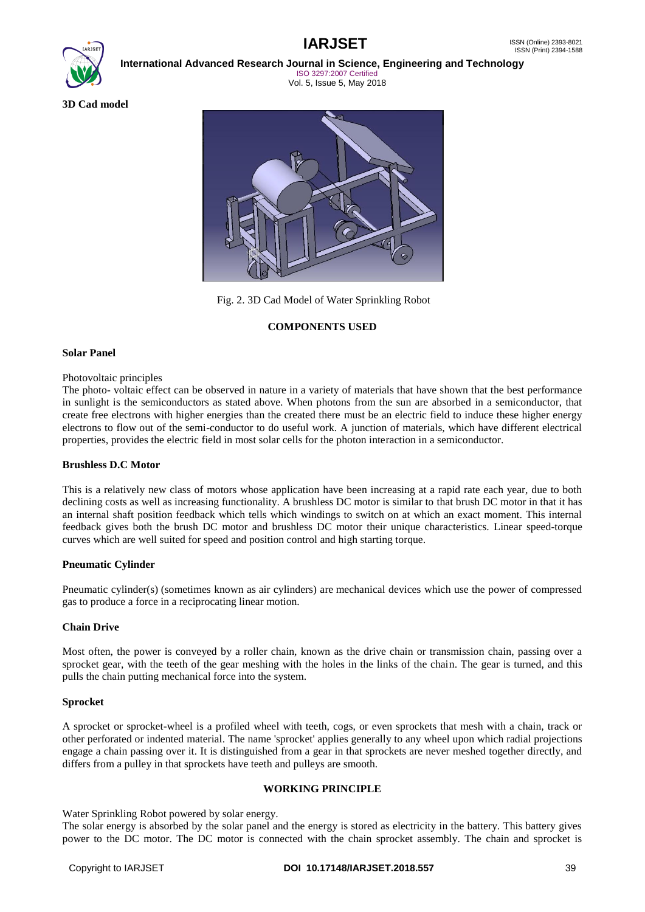

**International Advanced Research Journal in Science, Engineering and Technology**

ISO 3297:2007 Certified Vol. 5, Issue 5, May 2018

**3D Cad model**



Fig. 2. 3D Cad Model of Water Sprinkling Robot

# **COMPONENTS USED**

#### **Solar Panel**

#### Photovoltaic principles

The photo- voltaic effect can be observed in nature in a variety of materials that have shown that the best performance in sunlight is the semiconductors as stated above. When photons from the sun are absorbed in a semiconductor, that create free electrons with higher energies than the created there must be an electric field to induce these higher energy electrons to flow out of the semi-conductor to do useful work. A junction of materials, which have different electrical properties, provides the electric field in most solar cells for the photon interaction in a semiconductor.

#### **Brushless D.C Motor**

This is a relatively new class of motors whose application have been increasing at a rapid rate each year, due to both declining costs as well as increasing functionality. A brushless DC motor is similar to that brush DC motor in that it has an internal shaft position feedback which tells which windings to switch on at which an exact moment. This internal feedback gives both the brush DC motor and brushless DC motor their unique characteristics. Linear speed-torque curves which are well suited for speed and position control and high starting torque.

#### **Pneumatic Cylinder**

Pneumatic cylinder(s) (sometimes known as air cylinders) are mechanical devices which use the power of compressed gas to produce a force in a reciprocating linear motion.

#### **Chain Drive**

Most often, the power is conveyed by a roller chain, known as the drive chain or transmission chain, passing over a sprocket gear, with the teeth of the gear meshing with the holes in the links of the chain. The gear is turned, and this pulls the chain putting mechanical force into the system.

#### **Sprocket**

A sprocket or sprocket-wheel is a profiled wheel with teeth, cogs, or even sprockets that mesh with a chain, track or other perforated or indented material. The name 'sprocket' applies generally to any wheel upon which radial projections engage a chain passing over it. It is distinguished from a gear in that sprockets are never meshed together directly, and differs from a pulley in that sprockets have teeth and pulleys are smooth.

#### **WORKING PRINCIPLE**

Water Sprinkling Robot powered by solar energy.

The solar energy is absorbed by the solar panel and the energy is stored as electricity in the battery. This battery gives power to the DC motor. The DC motor is connected with the chain sprocket assembly. The chain and sprocket is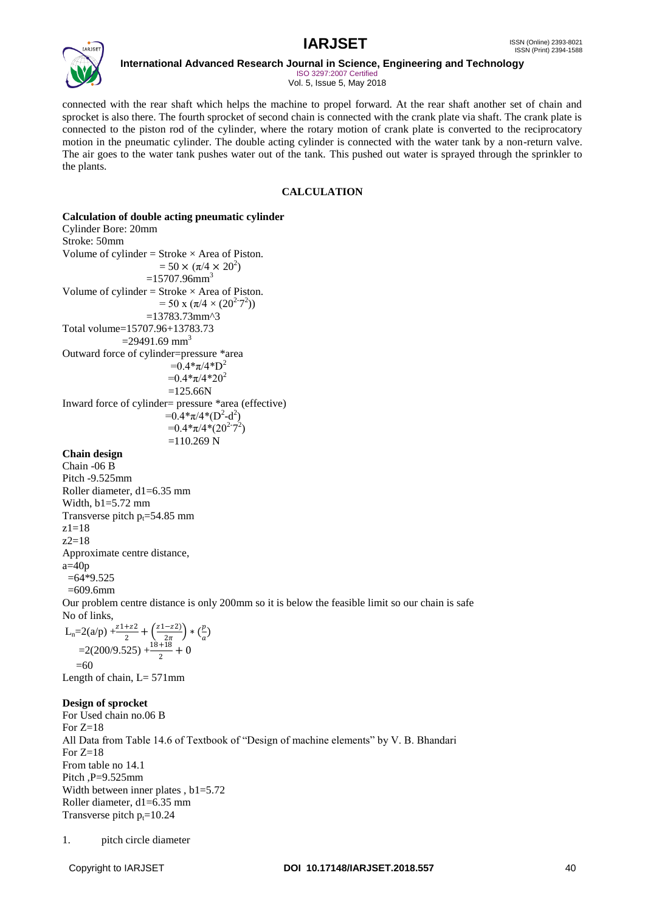

**International Advanced Research Journal in Science, Engineering and Technology**

ISO 3297:2007 Certified Vol. 5, Issue 5, May 2018

connected with the rear shaft which helps the machine to propel forward. At the rear shaft another set of chain and sprocket is also there. The fourth sprocket of second chain is connected with the crank plate via shaft. The crank plate is connected to the piston rod of the cylinder, where the rotary motion of crank plate is converted to the reciprocatory motion in the pneumatic cylinder. The double acting cylinder is connected with the water tank by a non-return valve. The air goes to the water tank pushes water out of the tank. This pushed out water is sprayed through the sprinkler to the plants.

# **CALCULATION**

# **Calculation of double acting pneumatic cylinder**

Cylinder Bore: 20mm Stroke: 50mm Volume of cylinder = Stroke  $\times$  Area of Piston.  $= 50 \times (\pi/4 \times 20^2)$  $=15707.96$ mm<sup>3</sup> Volume of cylinder = Stroke  $\times$  Area of Piston.  $= 50 \times (\pi/4 \times (20^{2-7})^2)$  $=13783.73$ mm^3 Total volume=15707.96+13783.73  $=$ 29491.69 mm<sup>3</sup> Outward force of cylinder=pressure \*area  $=0.4*\pi/4*D^2$  $=0.4*\pi/4*20^2$  $=125.66N$ Inward force of cylinder= pressure \*area (effective)  $=0.4*\pi/4*(D^2-d^2)$  $=0.4*\pi/4*(20^{2.7})$  $=110.269$  N

#### **Chain design**

Chain -06 B Pitch -9.525mm Roller diameter, d1=6.35 mm Width, b1=5.72 mm Transverse pitch  $p_t = 54.85$  mm z1=18  $z2=18$ Approximate centre distance,  $a=40p$  $=64*9.525$  $=609.6$ mm

Our problem centre distance is only 200mm so it is below the feasible limit so our chain is safe No of links,

$$
L_n=2(a/p) + \frac{z+2z}{2} + \left(\frac{z+2z}{2\pi}\right) * \left(\frac{p}{a}\right)
$$
  
=2(200/9.525) +  $\frac{18+18}{2}$  + 0  
=60

Length of chain,  $L = 571$  mm

#### **Design of sprocket**

For Used chain no.06 B For  $Z=18$ All Data from Table 14.6 of Textbook of "Design of machine elements" by V. B. Bhandari For  $Z=18$ From table no 14.1 Pitch ,P=9.525mm Width between inner plates , b1=5.72 Roller diameter, d1=6.35 mm Transverse pitch  $p_t = 10.24$ 

<sup>1.</sup> pitch circle diameter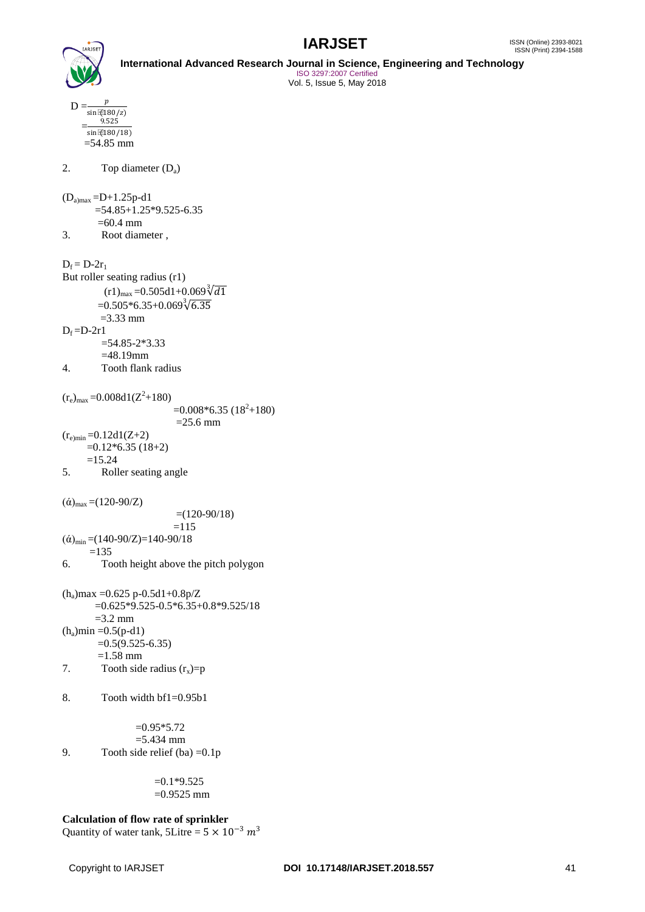



**International Advanced Research Journal in Science, Engineering and Technology** ISO 3297:2007 Certified Vol. 5, Issue 5, May 2018

 $D = \frac{p}{p}$  $\sin \sqrt{180}/z$ )  $=$ 9.525  $sin(180/18)$  $=54.85$  mm

# 2. Top diameter (Da)

 $(D_{a)max} = D + 1.25p - d1$ 

 $=54.85+1.25*9.525-6.35$  $=60.4$  mm 3. Root diameter ,

$$
D_f = D-2r_1
$$

But roller seating radius (r1)  $(r1)_{\text{max}} = 0.505d1 + 0.069\sqrt[3]{d1}$  $=0.505*6.35+0.069\sqrt[3]{6.35}$  $=3.33$  mm  $D_f = D-2r1$  $=$ 54.85-2\*3.33 =48.19mm

4. Tooth flank radius

 $(r_e)_{\text{max}} = 0.008d1(Z^2 + 180)$  $=0.008*6.35(18^2+180)$  $=25.6$  mm  $(r_{e})_{min} = 0.12d1(Z+2)$  $=0.12*6.35(18+2)$  $=15.24$ 5. Roller seating angle

 $($ ά)<sub>max</sub> =(120-90/Z)

 $=(120-90/18)$  $=115$  $({\dot{\alpha}})_{\text{min}} = (140-90/Z) = 140-90/18$  $=135$ 6. Tooth height above the pitch polygon

(ha)max =0.625 p-0.5d1+0.8p/Z =0.625\*9.525-0.5\*6.35+0.8\*9.525/18  $=$ 3.2 mm  $(h_a)$ min =0.5(p-d1)  $=0.5(9.525-6.35)$  $=1.58$  mm

- 7. Tooth side radius  $(r_x)=p$
- 8. Tooth width bf1=0.95b1

 $=0.95*5.72$  $=$  5.434 mm 9. Tooth side relief (ba)  $=0.1p$ 

> $=0.1*9.525$  $=0.9525$  mm

**Calculation of flow rate of sprinkler** Quantity of water tank, 5Litre =  $5 \times 10^{-3}$   $m^3$